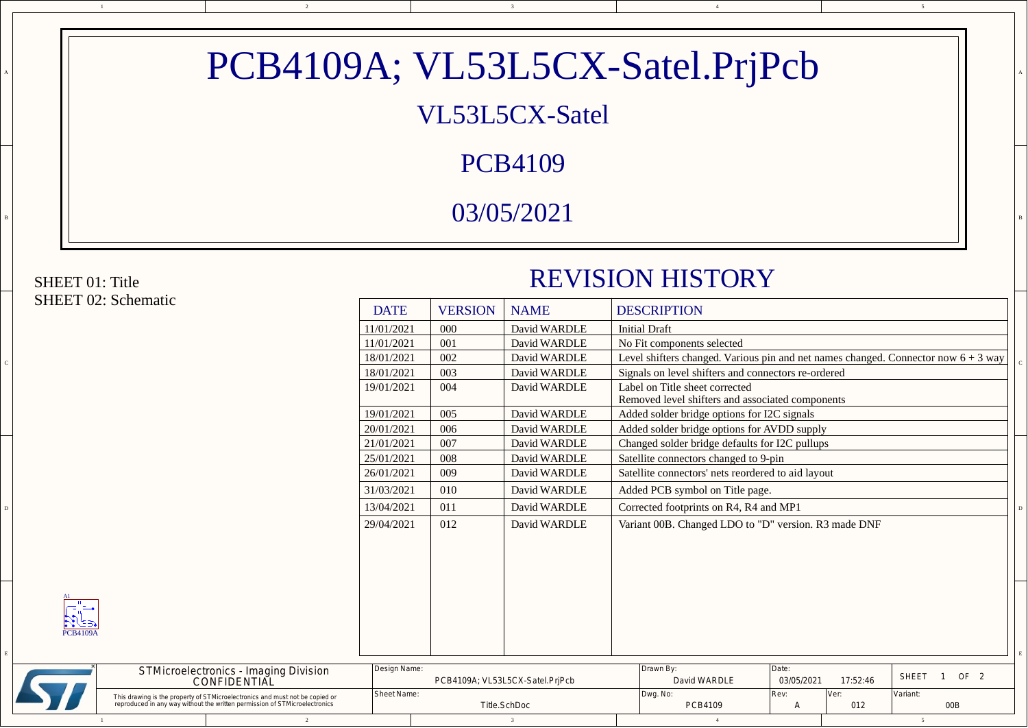| VL53L5CX-Satel<br><b>PCB4109</b><br>03/05/2021<br><b>REVISION HISTORY</b><br><b>DESCRIPTION</b><br><b>DATE</b><br><b>VERSION</b><br><b>NAME</b><br>David WARDLE<br><b>Initial Draft</b><br>11/01/2021<br>000<br>No Fit components selected<br>11/01/2021<br>David WARDLE<br>001<br>Level shifters changed. Various pin and net names changed. Connector now $6 + 3$ way<br>002<br>18/01/2021<br>David WARDLE<br>Signals on level shifters and connectors re-ordered<br>18/01/2021<br>003<br>David WARDLE<br>19/01/2021<br>David WARDLE<br>004<br>Label on Title sheet corrected<br>Removed level shifters and associated components<br>005<br>David WARDLE<br>19/01/2021<br>Added solder bridge options for I2C signals<br>20/01/2021<br>006<br>David WARDLE<br>Added solder bridge options for AVDD supply<br>007<br>David WARDLE<br>21/01/2021<br>Changed solder bridge defaults for I2C pullups<br>David WARDLE<br>Satellite connectors changed to 9-pin<br>25/01/2021<br>008<br>26/01/2021<br>009<br>David WARDLE<br>Satellite connectors' nets reordered to aid layout<br>David WARDLE<br>31/03/2021<br>010<br>Added PCB symbol on Title page.<br>011<br>13/04/2021<br>David WARDLE<br>Corrected footprints on R4, R4 and MP1<br>29/04/2021<br>012<br>Variant 00B. Changed LDO to "D" version. R3 made DNF<br>David WARDLE<br>$\frac{1}{\sqrt{2\cdot\frac{1}{2}}\cdot\frac{1}{2}}$<br>$\mathcal{S} \subseteq \mathbb{R}$<br><b>PCB4109A</b> |  |                                              |              |  | PCB4109A; VL53L5CX-Satel.PrjPcb |       |  |                 |  |
|--------------------------------------------------------------------------------------------------------------------------------------------------------------------------------------------------------------------------------------------------------------------------------------------------------------------------------------------------------------------------------------------------------------------------------------------------------------------------------------------------------------------------------------------------------------------------------------------------------------------------------------------------------------------------------------------------------------------------------------------------------------------------------------------------------------------------------------------------------------------------------------------------------------------------------------------------------------------------------------------------------------------------------------------------------------------------------------------------------------------------------------------------------------------------------------------------------------------------------------------------------------------------------------------------------------------------------------------------------------------------------------------------------------------------------------------------|--|----------------------------------------------|--------------|--|---------------------------------|-------|--|-----------------|--|
| <b>SHEET 01: Title</b><br><b>SHEET 02: Schematic</b>                                                                                                                                                                                                                                                                                                                                                                                                                                                                                                                                                                                                                                                                                                                                                                                                                                                                                                                                                                                                                                                                                                                                                                                                                                                                                                                                                                                             |  |                                              |              |  |                                 |       |  |                 |  |
|                                                                                                                                                                                                                                                                                                                                                                                                                                                                                                                                                                                                                                                                                                                                                                                                                                                                                                                                                                                                                                                                                                                                                                                                                                                                                                                                                                                                                                                  |  |                                              |              |  |                                 |       |  |                 |  |
|                                                                                                                                                                                                                                                                                                                                                                                                                                                                                                                                                                                                                                                                                                                                                                                                                                                                                                                                                                                                                                                                                                                                                                                                                                                                                                                                                                                                                                                  |  |                                              |              |  |                                 |       |  |                 |  |
|                                                                                                                                                                                                                                                                                                                                                                                                                                                                                                                                                                                                                                                                                                                                                                                                                                                                                                                                                                                                                                                                                                                                                                                                                                                                                                                                                                                                                                                  |  |                                              |              |  |                                 |       |  |                 |  |
|                                                                                                                                                                                                                                                                                                                                                                                                                                                                                                                                                                                                                                                                                                                                                                                                                                                                                                                                                                                                                                                                                                                                                                                                                                                                                                                                                                                                                                                  |  |                                              |              |  |                                 |       |  |                 |  |
|                                                                                                                                                                                                                                                                                                                                                                                                                                                                                                                                                                                                                                                                                                                                                                                                                                                                                                                                                                                                                                                                                                                                                                                                                                                                                                                                                                                                                                                  |  |                                              |              |  |                                 |       |  |                 |  |
|                                                                                                                                                                                                                                                                                                                                                                                                                                                                                                                                                                                                                                                                                                                                                                                                                                                                                                                                                                                                                                                                                                                                                                                                                                                                                                                                                                                                                                                  |  |                                              |              |  |                                 |       |  |                 |  |
|                                                                                                                                                                                                                                                                                                                                                                                                                                                                                                                                                                                                                                                                                                                                                                                                                                                                                                                                                                                                                                                                                                                                                                                                                                                                                                                                                                                                                                                  |  |                                              |              |  |                                 |       |  |                 |  |
|                                                                                                                                                                                                                                                                                                                                                                                                                                                                                                                                                                                                                                                                                                                                                                                                                                                                                                                                                                                                                                                                                                                                                                                                                                                                                                                                                                                                                                                  |  |                                              |              |  |                                 |       |  |                 |  |
|                                                                                                                                                                                                                                                                                                                                                                                                                                                                                                                                                                                                                                                                                                                                                                                                                                                                                                                                                                                                                                                                                                                                                                                                                                                                                                                                                                                                                                                  |  |                                              |              |  |                                 |       |  |                 |  |
|                                                                                                                                                                                                                                                                                                                                                                                                                                                                                                                                                                                                                                                                                                                                                                                                                                                                                                                                                                                                                                                                                                                                                                                                                                                                                                                                                                                                                                                  |  |                                              |              |  |                                 |       |  |                 |  |
|                                                                                                                                                                                                                                                                                                                                                                                                                                                                                                                                                                                                                                                                                                                                                                                                                                                                                                                                                                                                                                                                                                                                                                                                                                                                                                                                                                                                                                                  |  |                                              |              |  |                                 |       |  |                 |  |
|                                                                                                                                                                                                                                                                                                                                                                                                                                                                                                                                                                                                                                                                                                                                                                                                                                                                                                                                                                                                                                                                                                                                                                                                                                                                                                                                                                                                                                                  |  |                                              |              |  |                                 |       |  |                 |  |
|                                                                                                                                                                                                                                                                                                                                                                                                                                                                                                                                                                                                                                                                                                                                                                                                                                                                                                                                                                                                                                                                                                                                                                                                                                                                                                                                                                                                                                                  |  |                                              |              |  |                                 |       |  |                 |  |
|                                                                                                                                                                                                                                                                                                                                                                                                                                                                                                                                                                                                                                                                                                                                                                                                                                                                                                                                                                                                                                                                                                                                                                                                                                                                                                                                                                                                                                                  |  |                                              |              |  |                                 |       |  |                 |  |
|                                                                                                                                                                                                                                                                                                                                                                                                                                                                                                                                                                                                                                                                                                                                                                                                                                                                                                                                                                                                                                                                                                                                                                                                                                                                                                                                                                                                                                                  |  |                                              |              |  |                                 |       |  |                 |  |
|                                                                                                                                                                                                                                                                                                                                                                                                                                                                                                                                                                                                                                                                                                                                                                                                                                                                                                                                                                                                                                                                                                                                                                                                                                                                                                                                                                                                                                                  |  |                                              |              |  |                                 |       |  |                 |  |
|                                                                                                                                                                                                                                                                                                                                                                                                                                                                                                                                                                                                                                                                                                                                                                                                                                                                                                                                                                                                                                                                                                                                                                                                                                                                                                                                                                                                                                                  |  |                                              |              |  |                                 |       |  |                 |  |
| <b>SHEET</b><br>$\mathbf{1}$<br>03/05/2021<br>17:52:46<br>CONFIDENTIAL<br>PCB4109A; VL53L5CX-Satel.PrjPcb<br>David WARDLE                                                                                                                                                                                                                                                                                                                                                                                                                                                                                                                                                                                                                                                                                                                                                                                                                                                                                                                                                                                                                                                                                                                                                                                                                                                                                                                        |  | <b>STMicroelectronics - Imaging Division</b> | Design Name: |  | Drawn By:                       | Date: |  | OF <sub>2</sub> |  |

5



## B B A A REPORT OF A LITTLE AND A LITTLE AND A LITTLE AND A LITTLE AND A LITTLE AND A LITTLE AND A LITTLE AND A LIT PCB4109A; VL53L5CX-Satel.PrjPcb VL53L5CX-Satel PCB4109 03/05/2021

## SHEET 01: Title SHEET 02: Schematic

## REVISION HISTORY

|  | SHEET UZ: Schematic                               | <b>DATE</b> | <b>VERSION</b> | <b>NAME</b>  | <b>DESCRIPTION</b>                                                                   |  |
|--|---------------------------------------------------|-------------|----------------|--------------|--------------------------------------------------------------------------------------|--|
|  |                                                   | 11/01/2021  | 000            | David WARDLE | <b>Initial Draft</b>                                                                 |  |
|  |                                                   | 11/01/2021  | 001            | David WARDLE | No Fit components selected                                                           |  |
|  |                                                   | 18/01/2021  | 002            | David WARDLE | Level shifters changed. Various pin and net names changed. Connector now $6 + 3$ way |  |
|  |                                                   | 18/01/2021  | 003            | David WARDLE | Signals on level shifters and connectors re-ordered                                  |  |
|  |                                                   | 19/01/2021  | 004            | David WARDLE | Label on Title sheet corrected<br>Removed level shifters and associated components   |  |
|  |                                                   | 19/01/2021  | 005            | David WARDLE | Added solder bridge options for I2C signals                                          |  |
|  |                                                   | 20/01/2021  | 006            | David WARDLE | Added solder bridge options for AVDD supply                                          |  |
|  |                                                   | 21/01/2021  | 007            | David WARDLE | Changed solder bridge defaults for I2C pullups                                       |  |
|  |                                                   | 25/01/2021  | 008            | David WARDLE | Satellite connectors changed to 9-pin                                                |  |
|  |                                                   | 26/01/2021  | 009            | David WARDLE | Satellite connectors' nets reordered to aid layout                                   |  |
|  |                                                   | 31/03/2021  | 010            | David WARDLE | Added PCB symbol on Title page.                                                      |  |
|  |                                                   | 13/04/2021  | 011            | David WARDLE | Corrected footprints on R4, R4 and MP1                                               |  |
|  |                                                   | 29/04/2021  | 012            | David WARDLE | Variant 00B. Changed LDO to "D" version. R3 made DNF                                 |  |
|  |                                                   |             |                |              |                                                                                      |  |
|  |                                                   |             |                |              |                                                                                      |  |
|  |                                                   |             |                |              |                                                                                      |  |
|  |                                                   |             |                |              |                                                                                      |  |
|  | $\frac{1}{\sqrt{\frac{1}{\sqrt{2}}}}$<br>PCB4109A |             |                |              |                                                                                      |  |
|  |                                                   |             |                |              |                                                                                      |  |